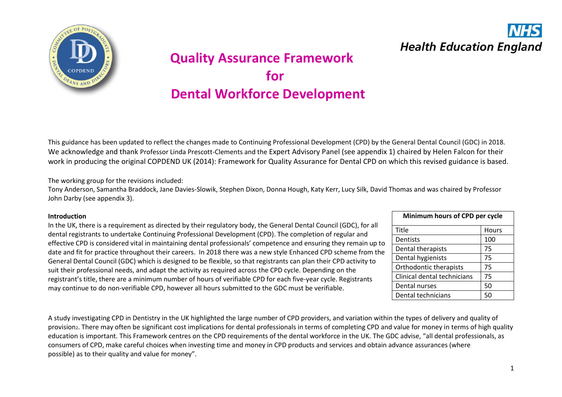

# **Quality Assurance Framework**  *for*  **Dental Workforce Development**

This guidance has been updated to reflect the changes made to Continuing Professional Development (CPD) by the General Dental Council (GDC) in 2018. We acknowledge and thank Professor Linda Prescott-Clements and the Expert Advisory Panel (see appendix 1) chaired by Helen Falcon for their work in producing the original COPDEND UK (2014): Framework for Quality Assurance for Dental CPD on which this revised guidance is based.

The working group for the revisions included:

Tony Anderson, Samantha Braddock, Jane Davies-Slowik, Stephen Dixon, Donna Hough, Katy Kerr, Lucy Silk, David Thomas and was chaired by Professor John Darby (see appendix 3).

#### **Introduction**

In the UK, there is a requirement as directed by their regulatory body, the General Dental Council (GDC), for all dental registrants to undertake Continuing Professional Development (CPD). The completion of regular and effective CPD is considered vital in maintaining dental professionals' competence and ensuring they remain up to date and fit for practice throughout their careers. In 2018 there was a new style Enhanced CPD scheme from the General Dental Council (GDC) which is designed to be flexible, so that registrants can plan their CPD activity to suit their professional needs, and adapt the activity as required across the CPD cycle. Depending on the registrant's title, there are a minimum number of hours of verifiable CPD for each five-year cycle. Registrants may continue to do non-verifiable CPD, however all hours submitted to the GDC must be verifiable.

| Minimum hours of CPD per cycle |       |  |
|--------------------------------|-------|--|
| Title                          | Hours |  |
| Dentists                       | 100   |  |
| Dental therapists              | 75    |  |
| Dental hygienists              | 75    |  |
| Orthodontic therapists         | 75    |  |
| Clinical dental technicians    | 75    |  |
| Dental nurses                  | 50    |  |
| Dental technicians             | 50    |  |

**Health Education England** 

A study investigating CPD in Dentistry in the UK highlighted the large number of CPD providers, and variation within the types of delivery and quality of provision<sub>2</sub>. There may often be significant cost implications for dental professionals in terms of completing CPD and value for money in terms of high quality education is important. This Framework centres on the CPD requirements of the dental workforce in the UK. The GDC advise, "all dental professionals, as consumers of CPD, make careful choices when investing time and money in CPD products and services and obtain advance assurances (where possible) as to their quality and value for money".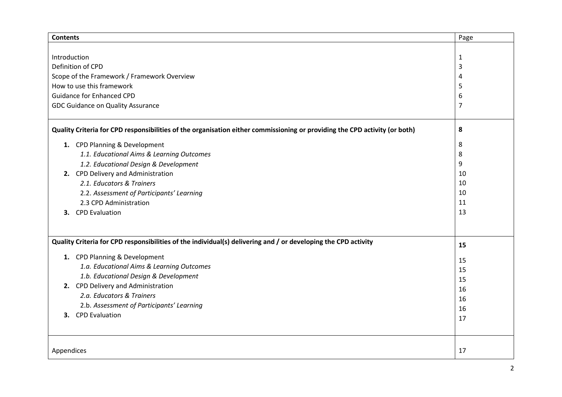| <b>Contents</b>                                                                                                            | Page           |
|----------------------------------------------------------------------------------------------------------------------------|----------------|
|                                                                                                                            |                |
| Introduction                                                                                                               | $\mathbf{1}$   |
| Definition of CPD                                                                                                          | 3              |
| Scope of the Framework / Framework Overview                                                                                | 4              |
| How to use this framework                                                                                                  | 5              |
| <b>Guidance for Enhanced CPD</b>                                                                                           | 6              |
| GDC Guidance on Quality Assurance                                                                                          | $\overline{7}$ |
| Quality Criteria for CPD responsibilities of the organisation either commissioning or providing the CPD activity (or both) | 8              |
| 1. CPD Planning & Development                                                                                              | 8              |
| 1.1. Educational Aims & Learning Outcomes                                                                                  | 8              |
| 1.2. Educational Design & Development                                                                                      | 9              |
| 2. CPD Delivery and Administration                                                                                         | 10             |
| 2.1. Educators & Trainers                                                                                                  | 10             |
| 2.2. Assessment of Participants' Learning                                                                                  | 10             |
| 2.3 CPD Administration                                                                                                     | 11             |
| 3. CPD Evaluation                                                                                                          | 13             |
|                                                                                                                            |                |
| Quality Criteria for CPD responsibilities of the individual(s) delivering and / or developing the CPD activity             | 15             |
| 1. CPD Planning & Development                                                                                              | 15             |
| 1.a. Educational Aims & Learning Outcomes                                                                                  | 15             |
| 1.b. Educational Design & Development                                                                                      | 15             |
| 2. CPD Delivery and Administration                                                                                         | 16             |
| 2.a. Educators & Trainers                                                                                                  | 16             |
| 2.b. Assessment of Participants' Learning                                                                                  | 16             |
| <b>CPD Evaluation</b><br>3.                                                                                                | 17             |
|                                                                                                                            |                |
|                                                                                                                            |                |
| Appendices                                                                                                                 | 17             |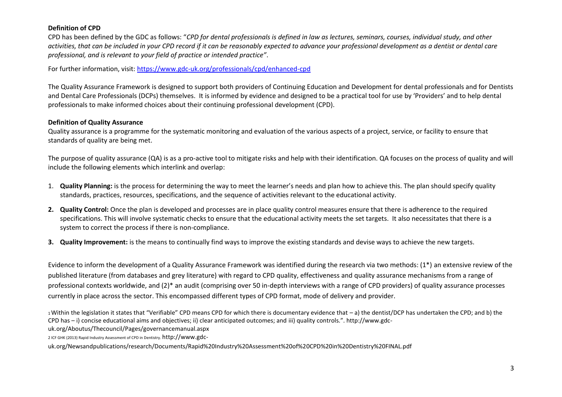### **Definition of CPD**

CPD has been defined by the GDC as follows: "*CPD for dental professionals is defined in law as lectures, seminars, courses, individual study, and other activities, that can be included in your CPD record if it can be reasonably expected to advance your professional development as a dentist or dental care professional, and is relevant to your field of practice or intended practice"*.

For further information, visit:<https://www.gdc-uk.org/professionals/cpd/enhanced-cpd>

The Quality Assurance Framework is designed to support both providers of Continuing Education and Development for dental professionals and for Dentists and Dental Care Professionals (DCPs) themselves. It is informed by evidence and designed to be a practical tool for use by 'Providers' and to help dental professionals to make informed choices about their continuing professional development (CPD).

### **Definition of Quality Assurance**

Quality assurance is a programme for the systematic monitoring and evaluation of the various aspects of a project, service, or facility to ensure that standards of quality are being met.

The purpose of quality assurance (QA) is as a pro-active tool to mitigate risks and help with their identification. QA focuses on the process of quality and will include the following elements which interlink and overlap:

- 1. **Quality Planning:** is the process for determining the way to meet the learner's needs and plan how to achieve this. The plan should specify quality standards, practices, resources, specifications, and the sequence of activities relevant to the educational activity.
- **2. Quality Control:** Once the plan is developed and processes are in place quality control measures ensure that there is adherence to the required specifications. This will involve systematic checks to ensure that the educational activity meets the set targets. It also necessitates that there is a system to correct the process if there is non-compliance.
- **3. Quality Improvement:** is the means to continually find ways to improve the existing standards and devise ways to achieve the new targets.

Evidence to inform the development of a Quality Assurance Framework was identified during the research via two methods: (1\*) an extensive review of the published literature (from databases and grey literature) with regard to CPD quality, effectiveness and quality assurance mechanisms from a range of professional contexts worldwide, and (2)\* an audit (comprising over 50 in-depth interviews with a range of CPD providers) of quality assurance processes currently in place across the sector. This encompassed different types of CPD format, mode of delivery and provider.

<sup>1</sup>Within the legislation it states that "Verifiable" CPD means CPD for which there is documentary evidence that – a) the dentist/DCP has undertaken the CPD; and b) the CPD has – i) concise educational aims and objectives; ii) clear anticipated outcomes; and iii) quality controls.". http://www.gdc-

uk.org/Aboutus/Thecouncil/Pages/governancemanual.aspx

2 ICF GHK (2013) Rapid Industry Assessment of CPD in Dentistry. http://www.gdc-

uk.org/Newsandpublications/research/Documents/Rapid%20Industry%20Assessment%20of%20CPD%20in%20Dentistry%20FINAL.pdf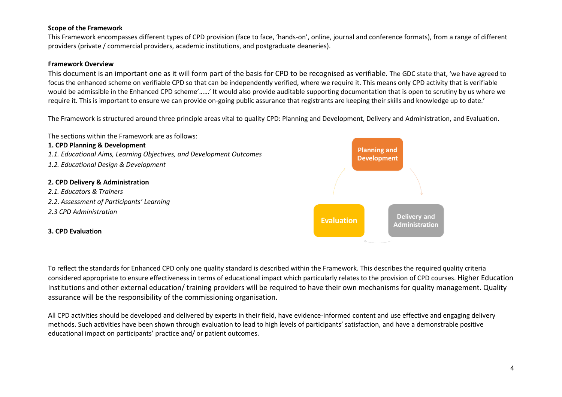### **Scope of the Framework**

This Framework encompasses different types of CPD provision (face to face, 'hands-on', online, journal and conference formats), from a range of different providers (private / commercial providers, academic institutions, and postgraduate deaneries).

### **Framework Overview**

This document is an important one as it will form part of the basis for CPD to be recognised as verifiable. The GDC state that, 'we have agreed to focus the enhanced scheme on verifiable CPD so that can be independently verified, where we require it. This means only CPD activity that is verifiable would be admissible in the Enhanced CPD scheme'……' It would also provide auditable supporting documentation that is open to scrutiny by us where we require it. This is important to ensure we can provide on-going public assurance that registrants are keeping their skills and knowledge up to date.'

The Framework is structured around three principle areas vital to quality CPD: Planning and Development, Delivery and Administration, and Evaluation.



To reflect the standards for Enhanced CPD only one quality standard is described within the Framework. This describes the required quality criteria considered appropriate to ensure effectiveness in terms of educational impact which particularly relates to the provision of CPD courses. Higher Education Institutions and other external education/ training providers will be required to have their own mechanisms for quality management. Quality assurance will be the responsibility of the commissioning organisation.

All CPD activities should be developed and delivered by experts in their field, have evidence-informed content and use effective and engaging delivery methods. Such activities have been shown through evaluation to lead to high levels of participants' satisfaction, and have a demonstrable positive educational impact on participants' practice and/ or patient outcomes.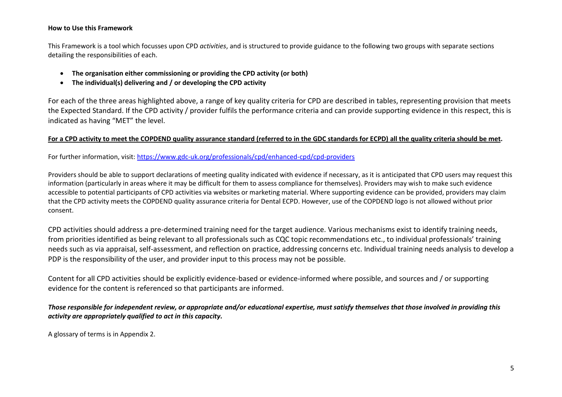#### **How to Use this Framework**

This Framework is a tool which focusses upon CPD *activities*, and is structured to provide guidance to the following two groups with separate sections detailing the responsibilities of each.

- **The organisation either commissioning or providing the CPD activity (or both)**
- **The individual(s) delivering and / or developing the CPD activity**

For each of the three areas highlighted above, a range of key quality criteria for CPD are described in tables, representing provision that meets the Expected Standard. If the CPD activity / provider fulfils the performance criteria and can provide supporting evidence in this respect, this is indicated as having "MET" the level.

### **For a CPD activity to meet the COPDEND quality assurance standard (referred to in the GDC standards for ECPD) all the quality criteria should be met.**

For further information, visit: <https://www.gdc-uk.org/professionals/cpd/enhanced-cpd/cpd-providers>

Providers should be able to support declarations of meeting quality indicated with evidence if necessary, as it is anticipated that CPD users may request this information (particularly in areas where it may be difficult for them to assess compliance for themselves). Providers may wish to make such evidence accessible to potential participants of CPD activities via websites or marketing material. Where supporting evidence can be provided, providers may claim that the CPD activity meets the COPDEND quality assurance criteria for Dental ECPD. However, use of the COPDEND logo is not allowed without prior consent.

CPD activities should address a pre-determined training need for the target audience*.* Various mechanisms exist to identify training needs, from priorities identified as being relevant to all professionals such as CQC topic recommendations etc., to individual professionals' training needs such as via appraisal, self-assessment, and reflection on practice, addressing concerns etc. Individual training needs analysis to develop a PDP is the responsibility of the user, and provider input to this process may not be possible.

Content for all CPD activities should be explicitly evidence-based or evidence-informed where possible, and sources and / or supporting evidence for the content is referenced so that participants are informed.

*Those responsible for independent review, or appropriate and/or educational expertise, must satisfy themselves that those involved in providing this activity are appropriately qualified to act in this capacity.*

A glossary of terms is in Appendix 2.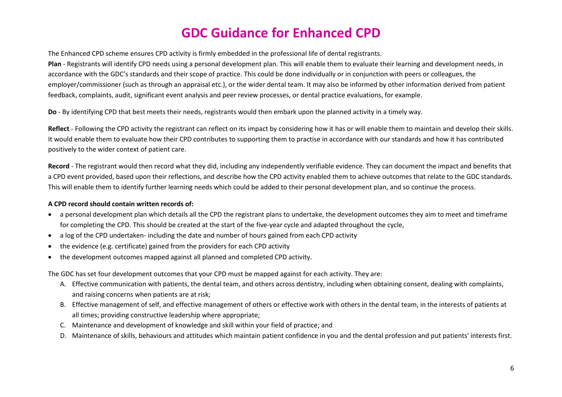# **GDC Guidance for Enhanced CPD**

The Enhanced CPD scheme ensures CPD activity is firmly embedded in the professional life of dental registrants.

**Plan** - Registrants will identify CPD needs using a personal development plan. This will enable them to evaluate their learning and development needs, in accordance with the GDC's standards and their scope of practice. This could be done individually or in conjunction with peers or colleagues, the employer/commissioner (such as through an appraisal etc.), or the wider dental team. It may also be informed by other information derived from patient feedback, complaints, audit, significant event analysis and peer review processes, or dental practice evaluations, for example.

**Do** - By identifying CPD that best meets their needs, registrants would then embark upon the planned activity in a timely way.

**Reflect** - Following the CPD activity the registrant can reflect on its impact by considering how it has or will enable them to maintain and develop their skills. It would enable them to evaluate how their CPD contributes to supporting them to practise in accordance with our standards and how it has contributed positively to the wider context of patient care.

**Record** - The registrant would then record what they did, including any independently verifiable evidence. They can document the impact and benefits that a CPD event provided, based upon their reflections, and describe how the CPD activity enabled them to achieve outcomes that relate to the GDC standards. This will enable them to identify further learning needs which could be added to their personal development plan, and so continue the process.

#### **A CPD record should contain written records of:**

- a personal development plan which details all the CPD the registrant plans to undertake, the development outcomes they aim to meet and timeframe for completing the CPD. This should be created at the start of the five-year cycle and adapted throughout the cycle,
- a log of the CPD undertaken- including the date and number of hours gained from each CPD activity
- the evidence (e.g. certificate) gained from the providers for each CPD activity
- the development outcomes mapped against all planned and completed CPD activity.

The GDC has set four development outcomes that your CPD must be mapped against for each activity. They are:

- A. Effective communication with patients, the dental team, and others across dentistry, including when obtaining consent, dealing with complaints, and raising concerns when patients are at risk;
- B. Effective management of self, and effective management of others or effective work with others in the dental team, in the interests of patients at all times; providing constructive leadership where appropriate;
- C. Maintenance and development of knowledge and skill within your field of practice; and
- D. Maintenance of skills, behaviours and attitudes which maintain patient confidence in you and the dental profession and put patients' interests first.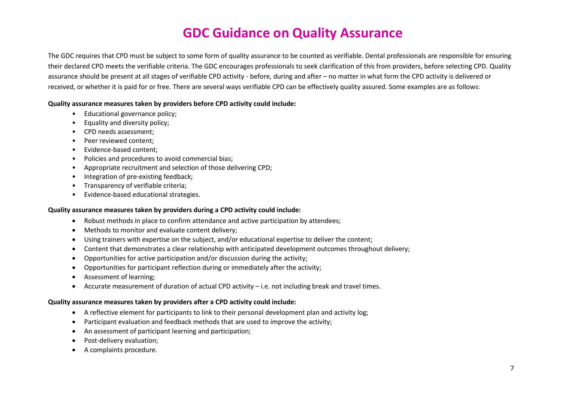# **GDC Guidance on Quality Assurance**

The GDC requires that CPD must be subject to some form of quality assurance to be counted as verifiable. Dental professionals are responsible for ensuring their declared CPD meets the verifiable criteria. The GDC encourages professionals to seek clarification of this from providers, before selecting CPD. Quality assurance should be present at all stages of verifiable CPD activity - before, during and after – no matter in what form the CPD activity is delivered or received, or whether it is paid for or free. There are several ways verifiable CPD can be effectively quality assured. Some examples are as follows:

#### **Quality assurance measures taken by providers before CPD activity could include:**

- Educational governance policy;
- Equality and diversity policy;
- CPD needs assessment;
- Peer reviewed content;
- Evidence-based content;
- Policies and procedures to avoid commercial bias;
- Appropriate recruitment and selection of those delivering CPD;
- Integration of pre-existing feedback;
- Transparency of verifiable criteria;
- Evidence-based educational strategies.

#### **Quality assurance measures taken by providers during a CPD activity could include:**

- Robust methods in place to confirm attendance and active participation by attendees;
- Methods to monitor and evaluate content delivery;
- Using trainers with expertise on the subject, and/or educational expertise to deliver the content;
- Content that demonstrates a clear relationship with anticipated development outcomes throughout delivery;
- Opportunities for active participation and/or discussion during the activity;
- Opportunities for participant reflection during or immediately after the activity;
- Assessment of learning;
- Accurate measurement of duration of actual CPD activity i.e. not including break and travel times.

#### **Quality assurance measures taken by providers after a CPD activity could include:**

- A reflective element for participants to link to their personal development plan and activity log;
- Participant evaluation and feedback methods that are used to improve the activity;
- An assessment of participant learning and participation;
- Post-delivery evaluation;
- A complaints procedure.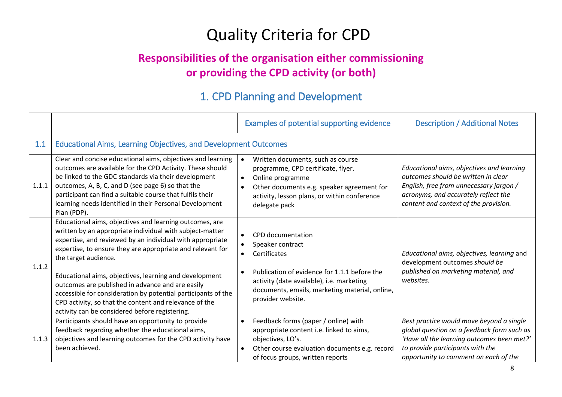# Quality Criteria for CPD

### **Responsibilities of the organisation either commissioning or providing the CPD activity (or both)**

### 1. CPD Planning and Development

|       |                                                                                                                                                                                                                                                                                                                                                                                                                                                                                                                                                                   | Examples of potential supporting evidence                                                                                                                                                                                                                        | <b>Description / Additional Notes</b>                                                                                                                                                                             |
|-------|-------------------------------------------------------------------------------------------------------------------------------------------------------------------------------------------------------------------------------------------------------------------------------------------------------------------------------------------------------------------------------------------------------------------------------------------------------------------------------------------------------------------------------------------------------------------|------------------------------------------------------------------------------------------------------------------------------------------------------------------------------------------------------------------------------------------------------------------|-------------------------------------------------------------------------------------------------------------------------------------------------------------------------------------------------------------------|
| 1.1   | <b>Educational Aims, Learning Objectives, and Development Outcomes</b>                                                                                                                                                                                                                                                                                                                                                                                                                                                                                            |                                                                                                                                                                                                                                                                  |                                                                                                                                                                                                                   |
| 1.1.1 | Clear and concise educational aims, objectives and learning<br>outcomes are available for the CPD Activity. These should<br>be linked to the GDC standards via their development<br>outcomes, A, B, C, and D (see page 6) so that the<br>participant can find a suitable course that fulfils their<br>learning needs identified in their Personal Development<br>Plan (PDP).                                                                                                                                                                                      | Written documents, such as course<br>$\bullet$<br>programme, CPD certificate, flyer.<br>Online programme<br>$\bullet$<br>Other documents e.g. speaker agreement for<br>$\bullet$<br>activity, lesson plans, or within conference<br>delegate pack                | Educational aims, objectives and learning<br>outcomes should be written in clear<br>English, free from unnecessary jargon /<br>acronyms, and accurately reflect the<br>content and context of the provision.      |
| 1.1.2 | Educational aims, objectives and learning outcomes, are<br>written by an appropriate individual with subject-matter<br>expertise, and reviewed by an individual with appropriate<br>expertise, to ensure they are appropriate and relevant for<br>the target audience.<br>Educational aims, objectives, learning and development<br>outcomes are published in advance and are easily<br>accessible for consideration by potential participants of the<br>CPD activity, so that the content and relevance of the<br>activity can be considered before registering. | CPD documentation<br>Speaker contract<br>$\bullet$<br>Certificates<br>$\bullet$<br>Publication of evidence for 1.1.1 before the<br>$\bullet$<br>activity (date available), i.e. marketing<br>documents, emails, marketing material, online,<br>provider website. | Educational aims, objectives, learning and<br>development outcomes should be<br>published on marketing material, and<br>websites.                                                                                 |
| 1.1.3 | Participants should have an opportunity to provide<br>feedback regarding whether the educational aims,<br>objectives and learning outcomes for the CPD activity have<br>been achieved.                                                                                                                                                                                                                                                                                                                                                                            | Feedback forms (paper / online) with<br>$\bullet$<br>appropriate content i.e. linked to aims,<br>objectives, LO's.<br>Other course evaluation documents e.g. record<br>$\bullet$<br>of focus groups, written reports                                             | Best practice would move beyond a single<br>global question on a feedback form such as<br>'Have all the learning outcomes been met?'<br>to provide participants with the<br>opportunity to comment on each of the |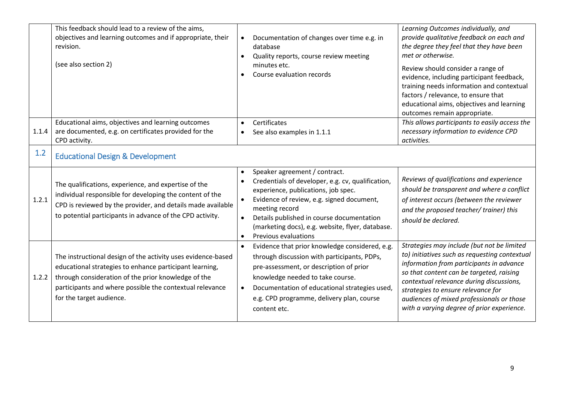|       | This feedback should lead to a review of the aims,<br>objectives and learning outcomes and if appropriate, their<br>revision.<br>(see also section 2)                                                                                                                  | Documentation of changes over time e.g. in<br>$\bullet$<br>database<br>Quality reports, course review meeting<br>$\bullet$<br>minutes etc.<br>Course evaluation records                                                                                                                                                                                  | Learning Outcomes individually, and<br>provide qualitative feedback on each and<br>the degree they feel that they have been<br>met or otherwise.<br>Review should consider a range of<br>evidence, including participant feedback,<br>training needs information and contextual<br>factors / relevance, to ensure that<br>educational aims, objectives and learning<br>outcomes remain appropriate. |
|-------|------------------------------------------------------------------------------------------------------------------------------------------------------------------------------------------------------------------------------------------------------------------------|----------------------------------------------------------------------------------------------------------------------------------------------------------------------------------------------------------------------------------------------------------------------------------------------------------------------------------------------------------|-----------------------------------------------------------------------------------------------------------------------------------------------------------------------------------------------------------------------------------------------------------------------------------------------------------------------------------------------------------------------------------------------------|
| 1.1.4 | Educational aims, objectives and learning outcomes<br>are documented, e.g. on certificates provided for the<br>CPD activity.                                                                                                                                           | Certificates<br>$\bullet$<br>See also examples in 1.1.1<br>$\bullet$                                                                                                                                                                                                                                                                                     | This allows participants to easily access the<br>necessary information to evidence CPD<br>activities.                                                                                                                                                                                                                                                                                               |
| 1.2   | <b>Educational Design &amp; Development</b>                                                                                                                                                                                                                            |                                                                                                                                                                                                                                                                                                                                                          |                                                                                                                                                                                                                                                                                                                                                                                                     |
| 1.2.1 | The qualifications, experience, and expertise of the<br>individual responsible for developing the content of the<br>CPD is reviewed by the provider, and details made available<br>to potential participants in advance of the CPD activity.                           | Speaker agreement / contract.<br>$\bullet$<br>Credentials of developer, e.g. cv, qualification,<br>$\bullet$<br>experience, publications, job spec.<br>Evidence of review, e.g. signed document,<br>meeting record<br>Details published in course documentation<br>(marketing docs), e.g. website, flyer, database.<br>Previous evaluations<br>$\bullet$ | Reviews of qualifications and experience<br>should be transparent and where a conflict<br>of interest occurs (between the reviewer<br>and the proposed teacher/ trainer) this<br>should be declared.                                                                                                                                                                                                |
| 1.2.2 | The instructional design of the activity uses evidence-based<br>educational strategies to enhance participant learning,<br>through consideration of the prior knowledge of the<br>participants and where possible the contextual relevance<br>for the target audience. | Evidence that prior knowledge considered, e.g.<br>through discussion with participants, PDPs,<br>pre-assessment, or description of prior<br>knowledge needed to take course.<br>Documentation of educational strategies used,<br>$\bullet$<br>e.g. CPD programme, delivery plan, course<br>content etc.                                                  | Strategies may include (but not be limited<br>to) initiatives such as requesting contextual<br>information from participants in advance<br>so that content can be targeted, raising<br>contextual relevance during discussions,<br>strategies to ensure relevance for<br>audiences of mixed professionals or those<br>with a varying degree of prior experience.                                    |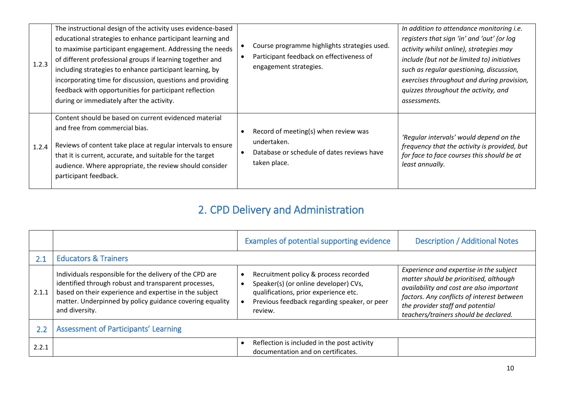| 1.2.3 | The instructional design of the activity uses evidence-based<br>educational strategies to enhance participant learning and<br>to maximise participant engagement. Addressing the needs<br>of different professional groups if learning together and<br>including strategies to enhance participant learning, by<br>incorporating time for discussion, questions and providing<br>feedback with opportunities for participant reflection<br>during or immediately after the activity. | Course programme highlights strategies used.<br>Participant feedback on effectiveness of<br>engagement strategies. | In addition to attendance monitoring i.e.<br>registers that sign 'in' and 'out' (or log<br>activity whilst online), strategies may<br>include (but not be limited to) initiatives<br>such as regular questioning, discussion,<br>exercises throughout and during provision,<br>quizzes throughout the activity, and<br>assessments. |
|-------|--------------------------------------------------------------------------------------------------------------------------------------------------------------------------------------------------------------------------------------------------------------------------------------------------------------------------------------------------------------------------------------------------------------------------------------------------------------------------------------|--------------------------------------------------------------------------------------------------------------------|-------------------------------------------------------------------------------------------------------------------------------------------------------------------------------------------------------------------------------------------------------------------------------------------------------------------------------------|
| 1.2.4 | Content should be based on current evidenced material<br>and free from commercial bias.<br>Reviews of content take place at regular intervals to ensure<br>that it is current, accurate, and suitable for the target<br>audience. Where appropriate, the review should consider<br>participant feedback.                                                                                                                                                                             | Record of meeting(s) when review was<br>undertaken.<br>Database or schedule of dates reviews have<br>taken place.  | 'Regular intervals' would depend on the<br>frequency that the activity is provided, but<br>for face to face courses this should be at<br>least annually.                                                                                                                                                                            |

## 2. CPD Delivery and Administration

|       |                                                                                                                                                                                                                                                         | Examples of potential supporting evidence                                                                                                                                          | <b>Description / Additional Notes</b>                                                                                                                                                                                                                    |
|-------|---------------------------------------------------------------------------------------------------------------------------------------------------------------------------------------------------------------------------------------------------------|------------------------------------------------------------------------------------------------------------------------------------------------------------------------------------|----------------------------------------------------------------------------------------------------------------------------------------------------------------------------------------------------------------------------------------------------------|
| 2.1   | <b>Educators &amp; Trainers</b>                                                                                                                                                                                                                         |                                                                                                                                                                                    |                                                                                                                                                                                                                                                          |
| 2.1.1 | Individuals responsible for the delivery of the CPD are<br>identified through robust and transparent processes,<br>based on their experience and expertise in the subject<br>matter. Underpinned by policy guidance covering equality<br>and diversity. | Recruitment policy & process recorded<br>Speaker(s) (or online developer) CVs,<br>qualifications, prior experience etc.<br>Previous feedback regarding speaker, or peer<br>review. | Experience and expertise in the subject<br>matter should be prioritised, although<br>availability and cost are also important<br>factors. Any conflicts of interest between<br>the provider staff and potential<br>teachers/trainers should be declared. |
| 2.2   | <b>Assessment of Participants' Learning</b>                                                                                                                                                                                                             |                                                                                                                                                                                    |                                                                                                                                                                                                                                                          |
| 2.2.1 |                                                                                                                                                                                                                                                         | Reflection is included in the post activity<br>documentation and on certificates.                                                                                                  |                                                                                                                                                                                                                                                          |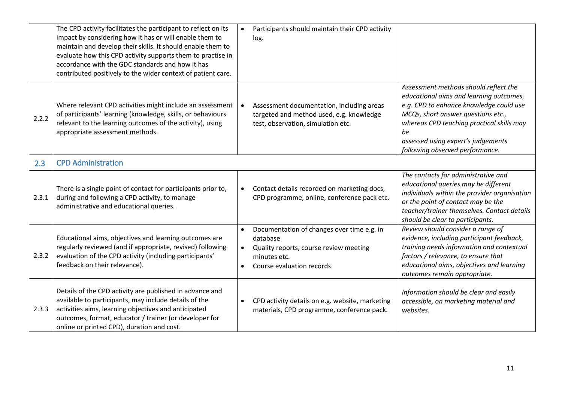|       | The CPD activity facilitates the participant to reflect on its<br>impact by considering how it has or will enable them to<br>maintain and develop their skills. It should enable them to<br>evaluate how this CPD activity supports them to practise in<br>accordance with the GDC standards and how it has<br>contributed positively to the wider context of patient care. | Participants should maintain their CPD activity<br>$\bullet$<br>log.                                                                                                                 |                                                                                                                                                                                                                                                                                               |
|-------|-----------------------------------------------------------------------------------------------------------------------------------------------------------------------------------------------------------------------------------------------------------------------------------------------------------------------------------------------------------------------------|--------------------------------------------------------------------------------------------------------------------------------------------------------------------------------------|-----------------------------------------------------------------------------------------------------------------------------------------------------------------------------------------------------------------------------------------------------------------------------------------------|
| 2.2.2 | Where relevant CPD activities might include an assessment<br>of participants' learning (knowledge, skills, or behaviours<br>relevant to the learning outcomes of the activity), using<br>appropriate assessment methods.                                                                                                                                                    | Assessment documentation, including areas<br>$\bullet$<br>targeted and method used, e.g. knowledge<br>test, observation, simulation etc.                                             | Assessment methods should reflect the<br>educational aims and learning outcomes,<br>e.g. CPD to enhance knowledge could use<br>MCQs, short answer questions etc.,<br>whereas CPD teaching practical skills may<br>be<br>assessed using expert's judgements<br>following observed performance. |
| 2.3   | <b>CPD Administration</b>                                                                                                                                                                                                                                                                                                                                                   |                                                                                                                                                                                      |                                                                                                                                                                                                                                                                                               |
| 2.3.1 | There is a single point of contact for participants prior to,<br>during and following a CPD activity, to manage<br>administrative and educational queries.                                                                                                                                                                                                                  | Contact details recorded on marketing docs,<br>$\bullet$<br>CPD programme, online, conference pack etc.                                                                              | The contacts for administrative and<br>educational queries may be different<br>individuals within the provider organisation<br>or the point of contact may be the<br>teacher/trainer themselves. Contact details<br>should be clear to participants.                                          |
| 2.3.2 | Educational aims, objectives and learning outcomes are<br>regularly reviewed (and if appropriate, revised) following<br>evaluation of the CPD activity (including participants'<br>feedback on their relevance).                                                                                                                                                            | Documentation of changes over time e.g. in<br>$\bullet$<br>database<br>Quality reports, course review meeting<br>$\bullet$<br>minutes etc.<br>Course evaluation records<br>$\bullet$ | Review should consider a range of<br>evidence, including participant feedback,<br>training needs information and contextual<br>factors / relevance, to ensure that<br>educational aims, objectives and learning<br>outcomes remain appropriate.                                               |
| 2.3.3 | Details of the CPD activity are published in advance and<br>available to participants, may include details of the<br>activities aims, learning objectives and anticipated<br>outcomes, format, educator / trainer (or developer for<br>online or printed CPD), duration and cost.                                                                                           | CPD activity details on e.g. website, marketing<br>$\bullet$<br>materials, CPD programme, conference pack.                                                                           | Information should be clear and easily<br>accessible, on marketing material and<br>websites.                                                                                                                                                                                                  |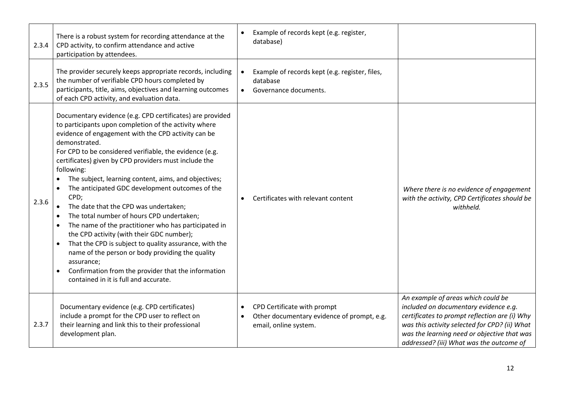| 2.3.4 | There is a robust system for recording attendance at the<br>CPD activity, to confirm attendance and active<br>participation by attendees.                                                                                                                                                                                                                                                                                                                                                                                                                                                                                                                                                                                                                                                                                                                                                        | Example of records kept (e.g. register,<br>database)                                                                         |                                                                                                                                                                                                                                                                          |
|-------|--------------------------------------------------------------------------------------------------------------------------------------------------------------------------------------------------------------------------------------------------------------------------------------------------------------------------------------------------------------------------------------------------------------------------------------------------------------------------------------------------------------------------------------------------------------------------------------------------------------------------------------------------------------------------------------------------------------------------------------------------------------------------------------------------------------------------------------------------------------------------------------------------|------------------------------------------------------------------------------------------------------------------------------|--------------------------------------------------------------------------------------------------------------------------------------------------------------------------------------------------------------------------------------------------------------------------|
| 2.3.5 | The provider securely keeps appropriate records, including<br>the number of verifiable CPD hours completed by<br>participants, title, aims, objectives and learning outcomes<br>of each CPD activity, and evaluation data.                                                                                                                                                                                                                                                                                                                                                                                                                                                                                                                                                                                                                                                                       | Example of records kept (e.g. register, files,<br>database<br>Governance documents.                                          |                                                                                                                                                                                                                                                                          |
| 2.3.6 | Documentary evidence (e.g. CPD certificates) are provided<br>to participants upon completion of the activity where<br>evidence of engagement with the CPD activity can be<br>demonstrated.<br>For CPD to be considered verifiable, the evidence (e.g.<br>certificates) given by CPD providers must include the<br>following:<br>The subject, learning content, aims, and objectives;<br>The anticipated GDC development outcomes of the<br>CPD;<br>The date that the CPD was undertaken;<br>$\bullet$<br>The total number of hours CPD undertaken;<br>The name of the practitioner who has participated in<br>the CPD activity (with their GDC number);<br>That the CPD is subject to quality assurance, with the<br>$\bullet$<br>name of the person or body providing the quality<br>assurance;<br>Confirmation from the provider that the information<br>contained in it is full and accurate. | Certificates with relevant content<br>$\bullet$                                                                              | Where there is no evidence of engagement<br>with the activity, CPD Certificates should be<br>withheld.                                                                                                                                                                   |
| 2.3.7 | Documentary evidence (e.g. CPD certificates)<br>include a prompt for the CPD user to reflect on<br>their learning and link this to their professional<br>development plan.                                                                                                                                                                                                                                                                                                                                                                                                                                                                                                                                                                                                                                                                                                                       | CPD Certificate with prompt<br>$\bullet$<br>Other documentary evidence of prompt, e.g.<br>$\bullet$<br>email, online system. | An example of areas which could be<br>included on documentary evidence e.g.<br>certificates to prompt reflection are (i) Why<br>was this activity selected for CPD? (ii) What<br>was the learning need or objective that was<br>addressed? (iii) What was the outcome of |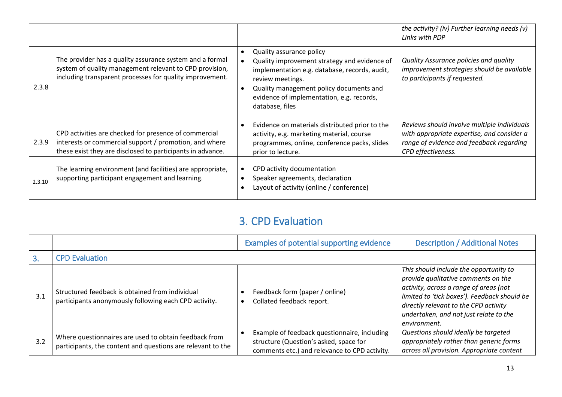|        |                                                                                                                                                                                 |                                                                                                                                                                                                                                                          | the activity? (iv) Further learning needs (v)<br>Links with PDP                                                                                             |
|--------|---------------------------------------------------------------------------------------------------------------------------------------------------------------------------------|----------------------------------------------------------------------------------------------------------------------------------------------------------------------------------------------------------------------------------------------------------|-------------------------------------------------------------------------------------------------------------------------------------------------------------|
| 2.3.8  | The provider has a quality assurance system and a formal<br>system of quality management relevant to CPD provision,<br>including transparent processes for quality improvement. | Quality assurance policy<br>Quality improvement strategy and evidence of<br>implementation e.g. database, records, audit,<br>review meetings.<br>Quality management policy documents and<br>evidence of implementation, e.g. records,<br>database, files | Quality Assurance policies and quality<br>improvement strategies should be available<br>to participants if requested.                                       |
| 2.3.9  | CPD activities are checked for presence of commercial<br>interests or commercial support / promotion, and where<br>these exist they are disclosed to participants in advance.   | Evidence on materials distributed prior to the<br>activity, e.g. marketing material, course<br>programmes, online, conference packs, slides<br>prior to lecture.                                                                                         | Reviews should involve multiple individuals<br>with appropriate expertise, and consider a<br>range of evidence and feedback regarding<br>CPD effectiveness. |
| 2.3.10 | The learning environment (and facilities) are appropriate,<br>supporting participant engagement and learning.                                                                   | CPD activity documentation<br>Speaker agreements, declaration<br>Layout of activity (online / conference)                                                                                                                                                |                                                                                                                                                             |

### 3. CPD Evaluation

|     |                                                                                                                      | Examples of potential supporting evidence                                                                                               | <b>Description / Additional Notes</b>                                                                                                                                                                                                                                      |
|-----|----------------------------------------------------------------------------------------------------------------------|-----------------------------------------------------------------------------------------------------------------------------------------|----------------------------------------------------------------------------------------------------------------------------------------------------------------------------------------------------------------------------------------------------------------------------|
|     | <b>CPD Evaluation</b>                                                                                                |                                                                                                                                         |                                                                                                                                                                                                                                                                            |
| 3.1 | Structured feedback is obtained from individual<br>participants anonymously following each CPD activity.             | Feedback form (paper / online)<br>Collated feedback report.                                                                             | This should include the opportunity to<br>provide qualitative comments on the<br>activity, across a range of areas (not<br>limited to 'tick boxes'). Feedback should be<br>directly relevant to the CPD activity<br>undertaken, and not just relate to the<br>environment. |
| 3.2 | Where questionnaires are used to obtain feedback from<br>participants, the content and questions are relevant to the | Example of feedback questionnaire, including<br>structure (Question's asked, space for<br>comments etc.) and relevance to CPD activity. | Questions should ideally be targeted<br>appropriately rather than generic forms<br>across all provision. Appropriate content                                                                                                                                               |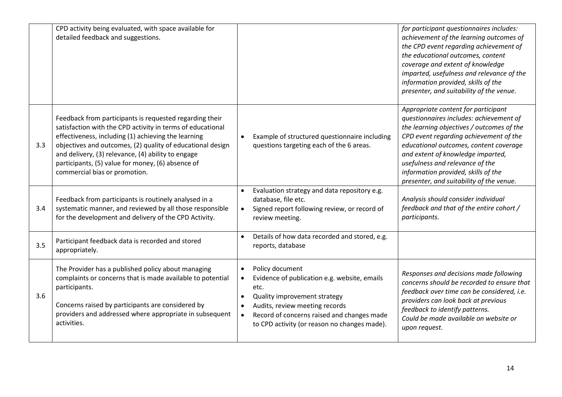|     | CPD activity being evaluated, with space available for<br>detailed feedback and suggestions.                                                                                                                                                                                                                                                                                           |                                                                                                                                                                                                                                                                                | for participant questionnaires includes:<br>achievement of the learning outcomes of<br>the CPD event regarding achievement of<br>the educational outcomes, content<br>coverage and extent of knowledge<br>imparted, usefulness and relevance of the<br>information provided, skills of the<br>presenter, and suitability of the venue.                                     |
|-----|----------------------------------------------------------------------------------------------------------------------------------------------------------------------------------------------------------------------------------------------------------------------------------------------------------------------------------------------------------------------------------------|--------------------------------------------------------------------------------------------------------------------------------------------------------------------------------------------------------------------------------------------------------------------------------|----------------------------------------------------------------------------------------------------------------------------------------------------------------------------------------------------------------------------------------------------------------------------------------------------------------------------------------------------------------------------|
| 3.3 | Feedback from participants is requested regarding their<br>satisfaction with the CPD activity in terms of educational<br>effectiveness, including (1) achieving the learning<br>objectives and outcomes, (2) quality of educational design<br>and delivery, (3) relevance, (4) ability to engage<br>participants, (5) value for money, (6) absence of<br>commercial bias or promotion. | Example of structured questionnaire including<br>questions targeting each of the 6 areas.                                                                                                                                                                                      | Appropriate content for participant<br>questionnaires includes: achievement of<br>the learning objectives / outcomes of the<br>CPD event regarding achievement of the<br>educational outcomes, content coverage<br>and extent of knowledge imparted,<br>usefulness and relevance of the<br>information provided, skills of the<br>presenter, and suitability of the venue. |
| 3.4 | Feedback from participants is routinely analysed in a<br>systematic manner, and reviewed by all those responsible<br>for the development and delivery of the CPD Activity.                                                                                                                                                                                                             | Evaluation strategy and data repository e.g.<br>database, file etc.<br>Signed report following review, or record of<br>$\bullet$<br>review meeting.                                                                                                                            | Analysis should consider individual<br>feedback and that of the entire cohort /<br>participants.                                                                                                                                                                                                                                                                           |
| 3.5 | Participant feedback data is recorded and stored<br>appropriately.                                                                                                                                                                                                                                                                                                                     | Details of how data recorded and stored, e.g.<br>reports, database                                                                                                                                                                                                             |                                                                                                                                                                                                                                                                                                                                                                            |
| 3.6 | The Provider has a published policy about managing<br>complaints or concerns that is made available to potential<br>participants.<br>Concerns raised by participants are considered by<br>providers and addressed where appropriate in subsequent<br>activities.                                                                                                                       | Policy document<br>$\bullet$<br>Evidence of publication e.g. website, emails<br>$\bullet$<br>etc.<br>Quality improvement strategy<br>Audits, review meeting records<br>Record of concerns raised and changes made<br>$\bullet$<br>to CPD activity (or reason no changes made). | Responses and decisions made following<br>concerns should be recorded to ensure that<br>feedback over time can be considered, i.e.<br>providers can look back at previous<br>feedback to identify patterns.<br>Could be made available on website or<br>upon request.                                                                                                      |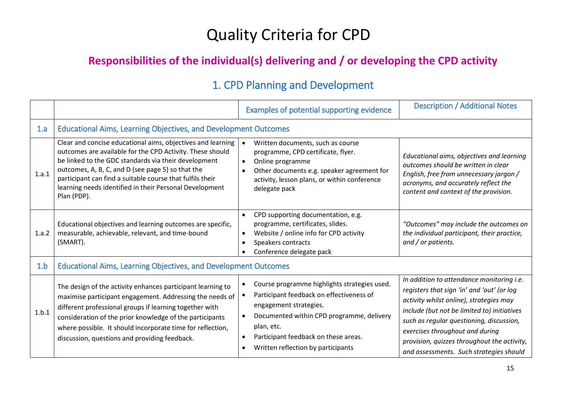# Quality Criteria for CPD

### **Responsibilities of the individual(s) delivering and / or developing the CPD activity**

### 1. CPD Planning and Development

|       |                                                                                                                                                                                                                                                                                                                                                                              | Examples of potential supporting evidence                                                                                                                                                                                                                                | <b>Description / Additional Notes</b>                                                                                                                                                                                                                                                                                                                      |
|-------|------------------------------------------------------------------------------------------------------------------------------------------------------------------------------------------------------------------------------------------------------------------------------------------------------------------------------------------------------------------------------|--------------------------------------------------------------------------------------------------------------------------------------------------------------------------------------------------------------------------------------------------------------------------|------------------------------------------------------------------------------------------------------------------------------------------------------------------------------------------------------------------------------------------------------------------------------------------------------------------------------------------------------------|
| 1.a   | <b>Educational Aims, Learning Objectives, and Development Outcomes</b>                                                                                                                                                                                                                                                                                                       |                                                                                                                                                                                                                                                                          |                                                                                                                                                                                                                                                                                                                                                            |
| 1.a.1 | Clear and concise educational aims, objectives and learning<br>outcomes are available for the CPD Activity. These should<br>be linked to the GDC standards via their development<br>outcomes, A, B, C, and D (see page 5) so that the<br>participant can find a suitable course that fulfils their<br>learning needs identified in their Personal Development<br>Plan (PDP). | Written documents, such as course<br>programme, CPD certificate, flyer.<br>Online programme<br>Other documents e.g. speaker agreement for<br>activity, lesson plans, or within conference<br>delegate pack                                                               | Educational aims, objectives and learning<br>outcomes should be written in clear<br>English, free from unnecessary jargon /<br>acronyms, and accurately reflect the<br>content and context of the provision.                                                                                                                                               |
| 1.a.2 | Educational objectives and learning outcomes are specific,<br>measurable, achievable, relevant, and time-bound<br>(SMART).                                                                                                                                                                                                                                                   | CPD supporting documentation, e.g.<br>programme, certificates, slides.<br>Website / online info for CPD activity<br>$\bullet$<br>Speakers contracts<br>$\bullet$<br>Conference delegate pack                                                                             | "Outcomes" may include the outcomes on<br>the individual participant, their practice,<br>and / or patients.                                                                                                                                                                                                                                                |
| 1.b   | <b>Educational Aims, Learning Objectives, and Development Outcomes</b>                                                                                                                                                                                                                                                                                                       |                                                                                                                                                                                                                                                                          |                                                                                                                                                                                                                                                                                                                                                            |
| 1.b.1 | The design of the activity enhances participant learning to<br>maximise participant engagement. Addressing the needs of<br>different professional groups if learning together with<br>consideration of the prior knowledge of the participants<br>where possible. It should incorporate time for reflection,<br>discussion, questions and providing feedback.                | Course programme highlights strategies used.<br>Participant feedback on effectiveness of<br>engagement strategies.<br>Documented within CPD programme, delivery<br>plan, etc.<br>Participant feedback on these areas.<br>$\bullet$<br>Written reflection by participants | In addition to attendance monitoring i.e.<br>registers that sign 'in' and 'out' (or log<br>activity whilst online), strategies may<br>include (but not be limited to) initiatives<br>such as regular questioning, discussion,<br>exercises throughout and during<br>provision, quizzes throughout the activity,<br>and assessments. Such strategies should |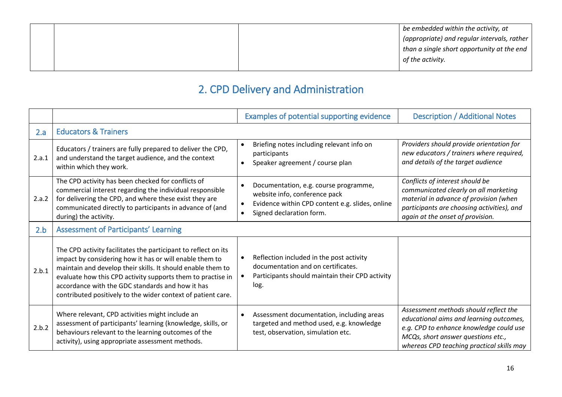|  | be embedded within the activity, at                       |
|--|-----------------------------------------------------------|
|  | $\mid$ (appropriate) and regular intervals, rather $\mid$ |
|  | than a single short opportunity at the end                |
|  | of the activity.                                          |
|  |                                                           |

### 2. CPD Delivery and Administration

|       |                                                                                                                                                                                                                                                                                                                                                                             | Examples of potential supporting evidence                                                                                                                                                    | <b>Description / Additional Notes</b>                                                                                                                                                                          |  |  |  |
|-------|-----------------------------------------------------------------------------------------------------------------------------------------------------------------------------------------------------------------------------------------------------------------------------------------------------------------------------------------------------------------------------|----------------------------------------------------------------------------------------------------------------------------------------------------------------------------------------------|----------------------------------------------------------------------------------------------------------------------------------------------------------------------------------------------------------------|--|--|--|
| 2.a   | <b>Educators &amp; Trainers</b>                                                                                                                                                                                                                                                                                                                                             |                                                                                                                                                                                              |                                                                                                                                                                                                                |  |  |  |
| 2.a.1 | Educators / trainers are fully prepared to deliver the CPD,<br>and understand the target audience, and the context<br>within which they work.                                                                                                                                                                                                                               | Briefing notes including relevant info on<br>participants<br>Speaker agreement / course plan<br>$\bullet$                                                                                    | Providers should provide orientation for<br>new educators / trainers where required,<br>and details of the target audience                                                                                     |  |  |  |
| 2.a.2 | The CPD activity has been checked for conflicts of<br>commercial interest regarding the individual responsible<br>for delivering the CPD, and where these exist they are<br>communicated directly to participants in advance of (and<br>during) the activity.                                                                                                               | Documentation, e.g. course programme,<br>$\bullet$<br>website info, conference pack<br>Evidence within CPD content e.g. slides, online<br>$\bullet$<br>Signed declaration form.<br>$\bullet$ | Conflicts of interest should be<br>communicated clearly on all marketing<br>material in advance of provision (when<br>participants are choosing activities), and<br>again at the onset of provision.           |  |  |  |
| 2.b   | <b>Assessment of Participants' Learning</b>                                                                                                                                                                                                                                                                                                                                 |                                                                                                                                                                                              |                                                                                                                                                                                                                |  |  |  |
| 2.b.1 | The CPD activity facilitates the participant to reflect on its<br>impact by considering how it has or will enable them to<br>maintain and develop their skills. It should enable them to<br>evaluate how this CPD activity supports them to practise in<br>accordance with the GDC standards and how it has<br>contributed positively to the wider context of patient care. | Reflection included in the post activity<br>documentation and on certificates.<br>Participants should maintain their CPD activity<br>log.                                                    |                                                                                                                                                                                                                |  |  |  |
| 2.b.2 | Where relevant, CPD activities might include an<br>assessment of participants' learning (knowledge, skills, or<br>behaviours relevant to the learning outcomes of the<br>activity), using appropriate assessment methods.                                                                                                                                                   | Assessment documentation, including areas<br>$\bullet$<br>targeted and method used, e.g. knowledge<br>test, observation, simulation etc.                                                     | Assessment methods should reflect the<br>educational aims and learning outcomes,<br>e.g. CPD to enhance knowledge could use<br>MCQs, short answer questions etc.,<br>whereas CPD teaching practical skills may |  |  |  |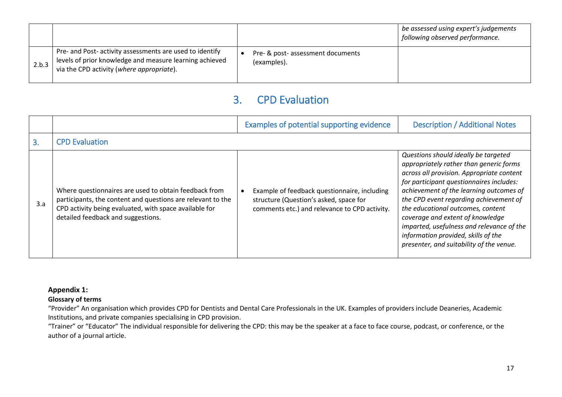|       |                                                                                                                                                                  |                                                  | be assessed using expert's judgements<br>following observed performance. |
|-------|------------------------------------------------------------------------------------------------------------------------------------------------------------------|--------------------------------------------------|--------------------------------------------------------------------------|
| 2.b.3 | Pre- and Post- activity assessments are used to identify<br>levels of prior knowledge and measure learning achieved<br>via the CPD activity (where appropriate). | Pre- & post- assessment documents<br>(examples). |                                                                          |

### 3. CPD Evaluation

|     |                                                                                                                                                                                                                      | Examples of potential supporting evidence                                                                                               | <b>Description / Additional Notes</b>                                                                                                                                                                                                                                                                                                                                                                                                                                  |  |  |  |
|-----|----------------------------------------------------------------------------------------------------------------------------------------------------------------------------------------------------------------------|-----------------------------------------------------------------------------------------------------------------------------------------|------------------------------------------------------------------------------------------------------------------------------------------------------------------------------------------------------------------------------------------------------------------------------------------------------------------------------------------------------------------------------------------------------------------------------------------------------------------------|--|--|--|
| 3.  | <b>CPD Evaluation</b>                                                                                                                                                                                                |                                                                                                                                         |                                                                                                                                                                                                                                                                                                                                                                                                                                                                        |  |  |  |
| 3.a | Where questionnaires are used to obtain feedback from<br>participants, the content and questions are relevant to the<br>CPD activity being evaluated, with space available for<br>detailed feedback and suggestions. | Example of feedback questionnaire, including<br>structure (Question's asked, space for<br>comments etc.) and relevance to CPD activity. | Questions should ideally be targeted<br>appropriately rather than generic forms<br>across all provision. Appropriate content<br>for participant questionnaires includes:<br>achievement of the learning outcomes of<br>the CPD event regarding achievement of<br>the educational outcomes, content<br>coverage and extent of knowledge<br>imparted, usefulness and relevance of the<br>information provided, skills of the<br>presenter, and suitability of the venue. |  |  |  |

### **Appendix 1:**

### **Glossary of terms**

"Provider" An organisation which provides CPD for Dentists and Dental Care Professionals in the UK. Examples of providers include Deaneries, Academic Institutions, and private companies specialising in CPD provision.

"Trainer" or "Educator" The individual responsible for delivering the CPD: this may be the speaker at a face to face course, podcast, or conference, or the author of a journal article.